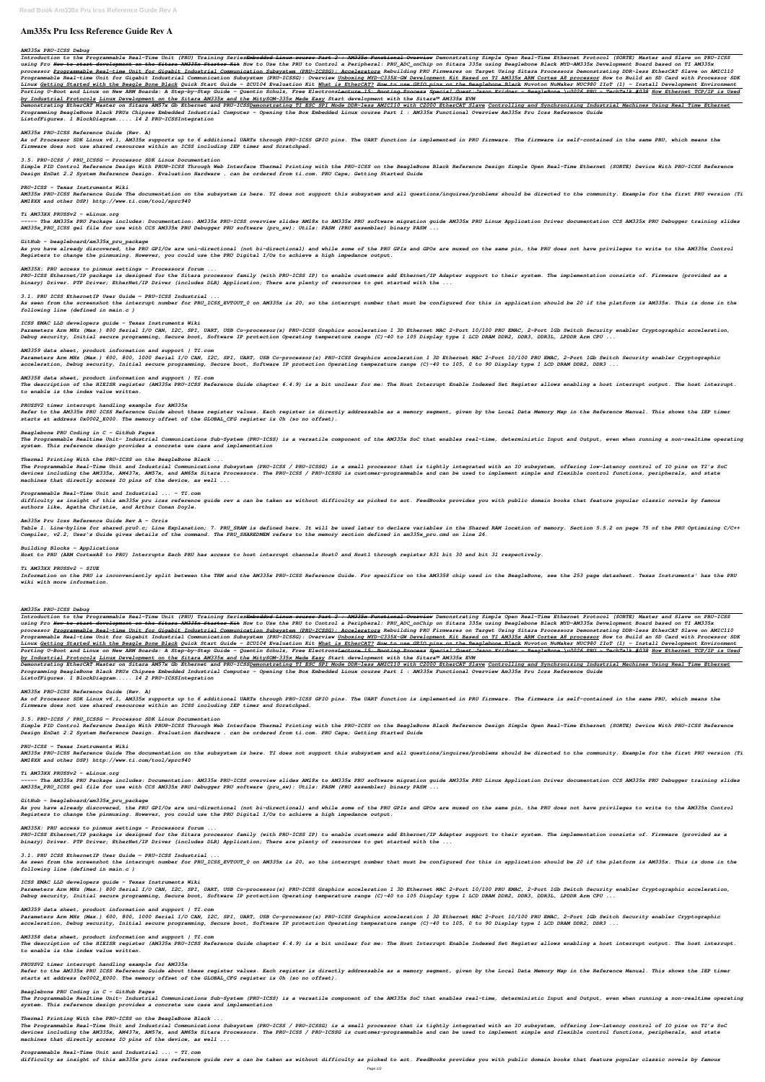# **Am335x Pru Icss Reference Guide Rev A**

## *AM335x PRU-ICSS Debug*

Introduction to the Programmable Real-Time Unit (PRU) Training Series<del>Embedded Linux course Part 2 : AM335x Functional Overview</del> Demonstrating Simple Open Real-Time Ethernet Protocol (SORTE) Master and Slave on PRU-ICSS using Pro <del>How to start development on the Sitara AM335x Starter Kit</del> How to Use the PRU to Control a Peripheral: PRU ADC onChip on Sitara 335x using Beaglebone Black MYD-AM335x Development Board based on TI AM335x processor <u>Programmable Real-time Unit for Gigabit Industrial Communication Subsystem (PRU-ICSSG): Accelerators</u> Rebuilding PRU Firmwares on Target Using Sitara Processors Demonstrating DDR-less EtherCAT Slave on AMIC110 Programmable Real-time Unit for Gigabit Industrial Communication Subsystem (PRU-ICSSG): Overview Unboxing MYD-C335X-GW Development Kit Based on TI AM335x ARM Cortex A8 processor How to Build an SD Card with Processor SDK Linux Getting Started with the Beagle Bone Black Quick Start Guide - ZCU104 Evaluation Kit What is EtherCAT? How to use GPIO pins on the Beaglebone Black Nuvoton NuMaker NUC980 IIoT (1) - Install Development Environment Porting U-Boot and Linux on New ARM Boards: A Step-by-Step Guide - Quentin Schulz, Free Electrons<del>Lecture 15: Booting Process Special Guest:Jason Kridner - BeagleBone \u0026 PRU - TechTalk #038 How Ethernet TCP/IP is Used</del> *by Industrial Protocols Linux Development on the Sitara AM335x and the MitySOM-335x Made Easy Start development with the Sitara™ AM335x EVM*

Demonstrating EtherCAT Master on Sitara AM57x Gb Ethernet and PRU-ICSS<u>Demonstrating TI ESC SPI Mode DDR-less AMIC110 with C2000 EtherCAT Slave Controlling and Synchronizing Industrial Machines Using Real Time Ethernet</u> *Programming BeagleBone Black PRUs Chipsee Embedded Industrial Computer - Opening the Box Embedded Linux course Part 1 : AM335x Functional Overview Am335x Pru Icss Reference Guide ListofFigures. 1 BlockDiagram..... 14 2 PRU-ICSSIntegration*

Simple PID Control Reference Design With PRU®-ICSS Through Web Interface Thermal Printing with the PRU-ICSS on the BeagleBone Black Reference Design Simple Open Real-Time Ethernet (SORTE) Device With PRU-ICSS Reference *Design EnDat 2.2 System Reference Design. Evaluation Hardware . can be ordered from ti.com. PRU Cape; Getting Started Guide*

AM335x PRU-ICSS Reference Guide The documentation on the subsystem is here. TI does not support this subsystem and all questions/inquires/problems should be directed to the community. Example for the first PRU version (Ti *AM18XX and other DSP) http://www.ti.com/tool/sprc940*

----- The AM335x PRU Package includes: Documentation: AM335x PRU-ICSS overview slides AM18x to AM335x PRU Linnx Application Driver documentation CCS AM335x PRU Debugger training slides *AM335x\_PRU\_ICSS gel file for use with CCS AM335x PRU Debugger PRU software (pru\_sw): Utils: PASM (PRU assembler) binary PASM ...*

As you have already discovered, the PRU GPI/Os are uni-directional (not bi-directional) and while some of the PRU GPOs are muxed on the same pin, the PRU does not have privileges to write to the AM335x Control *Registers to change the pinmuxing. However, you could use the PRU Digital I/Os to achieve a high impedance output.*

## *AM335x PRU-ICSS Reference Guide (Rev. A)*

*As of Processor SDK Linux v6.1, AM335x supports up to 6 additional UARTs through PRU-ICSS GPIO pins. The UART function is implemented in PRU firmware. The firmware is self-contained in the same PRU, which means the firmware does not use shared resources within an ICSS including IEP timer and Scratchpad.*

As seen from the screenshot the interrupt number for PRU\_ICSS\_EVTOUT\_0 on AM335x is 20, so the interrupt number that must be configured for this in application should be 20 if the platform is AM335x. This is done in the *following line (defined in main.c )*

## *3.5. PRU-ICSS / PRU\_ICSSG — Processor SDK Linux Documentation*

### *PRU-ICSS - Texas Instruments Wiki*

The description of the HIEISR register (AM335x PRU-ICSS Reference Guide chapter 6.4.9) is a bit unclear for me: The Host Interrupt Enable Indexed Set Register allows enabling a host interrupt. The host interrupt. *to enable is the index value written.*

### *Ti AM33XX PRUSSv2 - eLinux.org*

The Programmable Realtime Unit- Industrial Communications Sub-System (PRU-ICSS) is a versatile component of the AM335x SoC that enables real-time, deterministic Input and Output, even when running a non-realtime operating *system. This reference design provides a concrete use case and implementation*

### *GitHub - beagleboard/am335x\_pru\_package*

### *AM335X: PRU access to pinmux settings - Processors forum ...*

Table 1. Line-byline for shared.pru0.c; Line Explanation; 7. PRU\_SRAM is defined here. It will be used later to declare variables in the Shared RAM location of memory. Section 5.5.2 on page 75 of the PRU Optimizing C/C++ *Compiler, v2.2, User's Guide gives details of the command. The PRU\_SHAREDMEM refers to the memory section defined in am335x\_pru.cmd on line 26.*

*PRU-ICSS Ethernet/IP package is designed for the Sitara processor family (with PRU-ICSS IP) to enable customers add Ethernet/IP Adapter support to their system. The implementation consists of. Firmware (provided as a binary) Driver. PTP Driver; EtherNet/IP Driver (includes DLR) Application; There are plenty of resources to get started with the ...*

Information on the PRU is inconveniently split between the TRM and the AM335x PRU-ICSS Reference Guide. For specifics on the AM3358 chip used in the BeagleBone, see the 253 page datasheet. Texas Instruments' has the PRU *wiki with more information.*

## *3.1. PRU ICSS EthernetIP User Guide — PRU-ICSS Industrial ...*

### *ICSS EMAC LLD developers guide - Texas Instruments Wiki*

*Parameters Arm MHz (Max.) 800 Serial I/O CAN, I2C, SPI, UART, USB Co-processor(s) PRU-ICSS Graphics acceleration 1 3D Ethernet MAC 2-Port 10/100 PRU EMAC, 2-Port 1Gb Switch Security enabler Cryptographic acceleration, Debug security, Initial secure programming, Secure boot, Software IP protection Operating temperature range (C)-40 to 105 Display type 1 LCD DRAM DDR2, DDR3, DDR3L, LPDDR Arm CPU ...*

Introduction to the Programmable Real-Time Unit (PRU) Training Series<del>Embedded Linux course Part 2 : AM335x Functional Overview</del> Demonstrating Simple Open Real-Time Ethernet Protocol (SORTE) Master and Slave on PRU-ICSS using Pro <del>How to start development on the Sitara AM335x Starter Kit</del> How to Use the PRU to Control a Peripheral: PRU\_ADC\_onChip on Sitara 335x using Beaglebone Black MYD-AM335x Development Board based on TI AM335x processor Programmable Real-time Unit for Gigabit Industrial Communication Subsystem (PRU-ICSSG): Accelerators Rebuilding PRU Firmwares on Target Using Sitara Processors Demonstrating DDR-less EtherCAT Slave on AMIC110 Programmable Real-time Unit for Gigabit Industrial Communication Subsystem (PRU-ICSSG): Overview <u>Unboxing MYD-C335X-GW Development Kit Based on TI AM335x ARM Cortex A8 processor</u> How to Build an SD Card with Processor SDK Linux <u>Getting Started with the Beagle Bone Black</u> Quick Start Guide - ZCU104 Evaluation Kit <u>What is EtherCAT?</u> <del>How to use GPIO pins on the Beaglebone Black</del> Nuvoton NuMaker NUC980 IIoT (1) - Install Development Environm Porting U-Boot and Linux on New ARM Boards: A Step-by-Step Guide - Quentin Schulz, Free Electrons<del>Lecture 15: Booting Process Special Guest:Jason Kridner - BeagleBone \u0026 PRU - TechTalk #038 How Ethernet TCP/IP is Used</del> *by Industrial Protocols Linux Development on the Sitara AM335x and the MitySOM-335x Made Easy Start development with the Sitara™ AM335x EVM*

### *AM3359 data sheet, product information and support | TI.com*

Demonstrating EtherCAT Master on Sitara AM57x Gb Ethernet and PRU-ICSS<u>Demonstrating TI ESC SPI Mode DDR-less AMIC110 with C2000 EtherCAT Slave Controlling and Synchronizing Industrial Machines Using Real Time Ethernet</u> *Programming BeagleBone Black PRUs Chipsee Embedded Industrial Computer - Opening the Box Embedded Linux course Part 1 : AM335x Functional Overview Am335x Pru Icss Reference Guide ListofFigures. 1 BlockDiagram..... 14 2 PRU-ICSSIntegration*

*Parameters Arm MHz (Max.) 600, 800, 1000 Serial I/O CAN, I2C, SPI, UART, USB Co-processor(s) PRU-ICSS Graphics acceleration 1 3D Ethernet MAC 2-Port 10/100 PRU EMAC, 2-Port 1Gb Switch Security enabler Cryptographic acceleration, Debug security, Initial secure programming, Secure boot, Software IP protection Operating temperature range (C)-40 to 105, 0 to 90 Display type 1 LCD DRAM DDR2, DDR3 ...*

Simple PID Control Reference Design With PRU®-ICSS Through Web Interface Thermal Printing with the PRU-ICSS on the BeagleBone Black Reference Design Simple Open Real-Time Ethernet (SORTE) Device With PRU-ICSS Reference *Design EnDat 2.2 System Reference Design. Evaluation Hardware . can be ordered from ti.com. PRU Cape; Getting Started Guide*

### *AM3358 data sheet, product information and support | TI.com*

AM335x PRU-ICSS Reference Guide The documentation on the subsystem is here. TI does not support this subsystem and all questions/inquires/problems should be directed to the community. Example for the first PRU version (Ti *AM18XX and other DSP) http://www.ti.com/tool/sprc940*

----- The AM335x PRU Package includes: Documentation: AM335x PRU-ICSS overview slides AM18x to AM335x PRU software migration quide AM335x PRU Linux Application Driver documentation CCS AM335x PRU Debugger training slides *AM335x\_PRU\_ICSS gel file for use with CCS AM335x PRU Debugger PRU software (pru\_sw): Utils: PASM (PRU assembler) binary PASM ...*

#### *PRUSSV2 timer interrupt handling example for AM335x*

*Refer to the AM335x PRU ICSS Reference Guide about these register values. Each register is directly addressable as a memory segment, given by the Local Data Memory Map in the Reference Manual. This shows the IEP timer starts at address 0x0002\_E000. The memory offset of the GLOBAL\_CFG register is 0h (so no offset).*

As you have already discovered, the PRU GPI/Os are uni-directional (not bi-directional) and while some of the PRU GPOs are muxed on the same pin, the PRU does not have privileges to write to the AM335x Control *Registers to change the pinmuxing. However, you could use the PRU Digital I/Os to achieve a high impedance output.*

#### *Beaglebone PRU Coding in C - GitHub Pages*

As seen from the screenshot the interrupt number for PRU ICSS EVTOUT 0 on AM335x is 20, so the interrupt number that must be configured for this in application should be 20 if the platform is AM335x. This is done in the *following line (defined in main.c )*

### *Thermal Printing With the PRU-ICSS on the BeagleBone Black ...*

*The Programmable Real-Time Unit and Industrial Communications Subsystem (PRU-ICSS / PRU-ICSSG) is a small processor that is tightly integrated with an IO subsystem, offering low-latency control of IO pins on TI's SoC devices including the AM335x, AM437x, AM57x, and AM65x Sitara Processors. The PRU-ICSS / PRU-ICSSG is customer-programmable and can be used to implement simple and flexible control functions, peripherals, and state machines that directly access IO pins of the device, as well ...*

The description of the HIEISR register (AM335x PRU-ICSS Reference Guide chapter 6.4.9) is a bit unclear for me: The Host Interrupt Enable Indexed Set Register allows enabling a host interrupt. The host interrupt. *to enable is the index value written.*

#### *Programmable Real-Time Unit and Industrial ... - TI.com*

*difficulty as insight of this am335x pru icss reference guide rev a can be taken as without difficulty as picked to act. FeedBooks provides you with public domain books that feature popular classic novels by famous authors like, Agatha Christie, and Arthur Conan Doyle.*

The Programmable Realtime Unit- Industrial Communications Sub-System (PRU-ICSS) is a versatile component of the AM335x SoC that enables real-time, deterministic Input and Output, even when running a non-realtime operating *system. This reference design provides a concrete use case and implementation*

#### *Am335x Pru Icss Reference Guide Rev A - Orris*

#### *Building Blocks - Applications*

*Host to PRU (ARM CortexA8 to PRU) Interrupts Each PRU has access to host interrupt channels Host0 and Host1 through register R31 bit 30 and bit 31 respectively.*

## *Ti AM33XX PRUSSv2 - SIUE*

#### *AM335x PRU-ICSS Debug*

#### *AM335x PRU-ICSS Reference Guide (Rev. A)*

*As of Processor SDK Linux v6.1, AM335x supports up to 6 additional UARTs through PRU-ICSS GPIO pins. The UART function is implemented in PRU firmware. The firmware is self-contained in the same PRU, which means the firmware does not use shared resources within an ICSS including IEP timer and Scratchpad.*

#### *3.5. PRU-ICSS / PRU\_ICSSG — Processor SDK Linux Documentation*

## *PRU-ICSS - Texas Instruments Wiki*

#### *Ti AM33XX PRUSSv2 - eLinux.org*

#### *GitHub - beagleboard/am335x\_pru\_package*

#### *AM335X: PRU access to pinmux settings - Processors forum ...*

*PRU-ICSS Ethernet/IP package is designed for the Sitara processor family (with PRU-ICSS IP) to enable customers add Ethernet/IP Adapter support to their system. The implementation consists of. Firmware (provided as a binary) Driver. PTP Driver; EtherNet/IP Driver (includes DLR) Application; There are plenty of resources to get started with the ...*

#### *3.1. PRU ICSS EthernetIP User Guide — PRU-ICSS Industrial ...*

#### *ICSS EMAC LLD developers guide - Texas Instruments Wiki*

*Parameters Arm MHz (Max.) 800 Serial I/O CAN, I2C, SPI, UART, USB Co-processor(s) PRU-ICSS Graphics acceleration 1 3D Ethernet MAC 2-Port 10/100 PRU EMAC, 2-Port 1Gb Switch Security enabler Cryptographic acceleration, Debug security, Initial secure programming, Secure boot, Software IP protection Operating temperature range (C)-40 to 105 Display type 1 LCD DRAM DDR2, DDR3, DDR3L, LPDDR Arm CPU ...*

#### *AM3359 data sheet, product information and support | TI.com*

*Parameters Arm MHz (Max.) 600, 800, 1000 Serial I/O CAN, I2C, SPI, UART, USB Co-processor(s) PRU-ICSS Graphics acceleration 1 3D Ethernet MAC 2-Port 10/100 PRU EMAC, 2-Port 1Gb Switch Security enabler Cryptographic acceleration, Debug security, Initial secure programming, Secure boot, Software IP protection Operating temperature range (C)-40 to 105, 0 to 90 Display type 1 LCD DRAM DDR2, DDR3 ...*

#### *AM3358 data sheet, product information and support | TI.com*

#### *PRUSSV2 timer interrupt handling example for AM335x*

*Refer to the AM335x PRU ICSS Reference Guide about these register values. Each register is directly addressable as a memory segment, given by the Local Data Memory Map in the Reference Manual. This shows the IEP timer starts at address 0x0002\_E000. The memory offset of the GLOBAL\_CFG register is 0h (so no offset).*

#### *Beaglebone PRU Coding in C - GitHub Pages*

#### *Thermal Printing With the PRU-ICSS on the BeagleBone Black ...*

*The Programmable Real-Time Unit and Industrial Communications Subsystem (PRU-ICSS / PRU-ICSSG) is a small processor that is tightly integrated with an IO subsystem, offering low-latency control of IO pins on TI's SoC devices including the AM335x, AM437x, AM57x, and AM65x Sitara Processors. The PRU-ICSS / PRU-ICSSG is customer-programmable and can be used to implement simple and flexible control functions, peripherals, and state machines that directly access IO pins of the device, as well ...*

#### *Programmable Real-Time Unit and Industrial ... - TI.com*

*difficulty as insight of this am335x pru icss reference guide rev a can be taken as without difficulty as picked to act. FeedBooks provides you with public domain books that feature popular classic novels by famous*